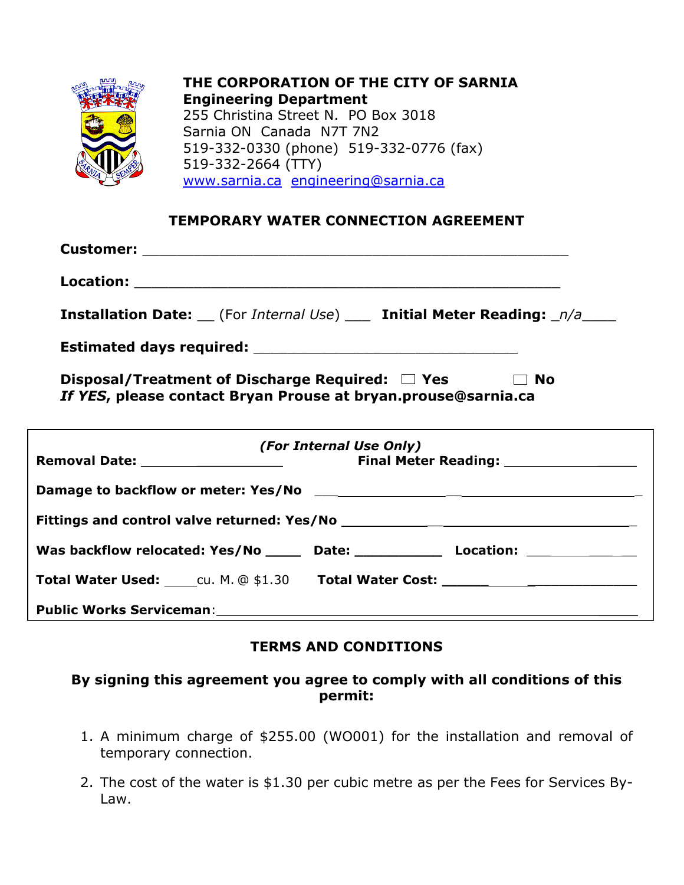

**THE CORPORATION OF THE CITY OF SARNIA Engineering Department**  255 Christina Street N. PO Box 3018 Sarnia ON Canada N7T 7N2 519-332-0330 (phone) 519-332-0776 (fax) 519-332-2664 (TTY) www.sarnia.ca engineering@sarnia.ca

## **TEMPORARY WATER CONNECTION AGREEMENT**

| <b>Installation Date:</b> (For Internal Use) ___ Initial Meter Reading: _n/a____                                      |                         |           |
|-----------------------------------------------------------------------------------------------------------------------|-------------------------|-----------|
|                                                                                                                       |                         |           |
| Disposal/Treatment of Discharge Required: $\Box$ Yes<br>If YES, please contact Bryan Prouse at bryan.prouse@sarnia.ca |                         | $\Box$ No |
| ,我们也不会有什么。""我们的人,我们也不会有什么?""我们的人,我们也不会有什么?""我们的人,我们也不会有什么?""我们的人,我们也不会有什么?""我们的人                                      | (For Internal Use Only) |           |
|                                                                                                                       |                         |           |
|                                                                                                                       |                         |           |
| Was backflow relocated: Yes/No _____ Date: ___________ Location: _______________                                      |                         |           |
| Total Water Used: COMEX COMEX 1.30 Total Water Cost: COMEX COMEX COMEX COMEX COMEX COMEX COMEX COMEX COMEX CO         |                         |           |
|                                                                                                                       |                         |           |

**Public Works Serviceman**: \_\_\_\_\_

## **TERMS AND CONDITIONS**

## **By signing this agreement you agree to comply with all conditions of this permit:**

- 1. A minimum charge of \$255.00 (WO001) for the installation and removal of temporary connection.
- 2. The cost of the water is \$1.30 per cubic metre as per the Fees for Services By-Law.